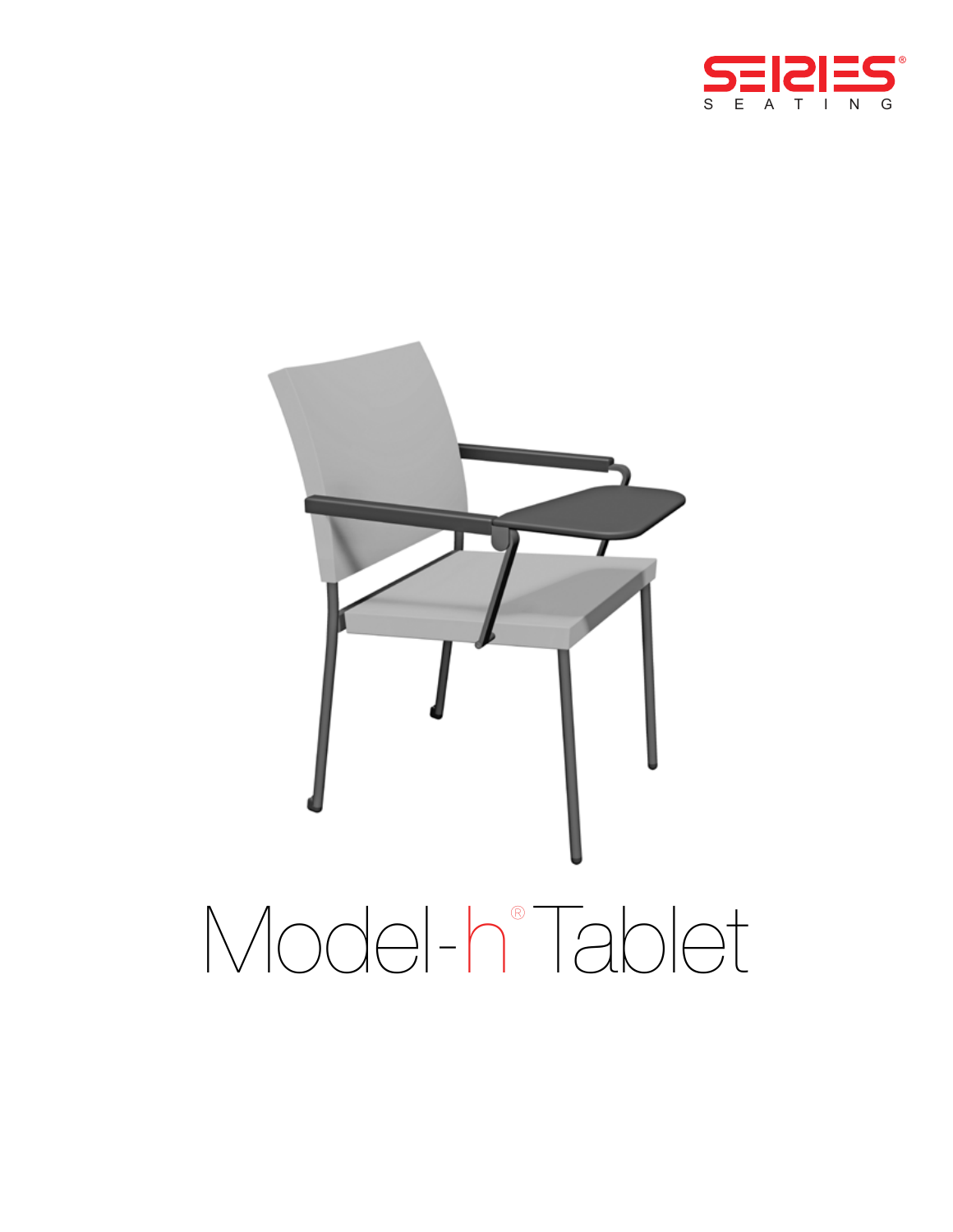

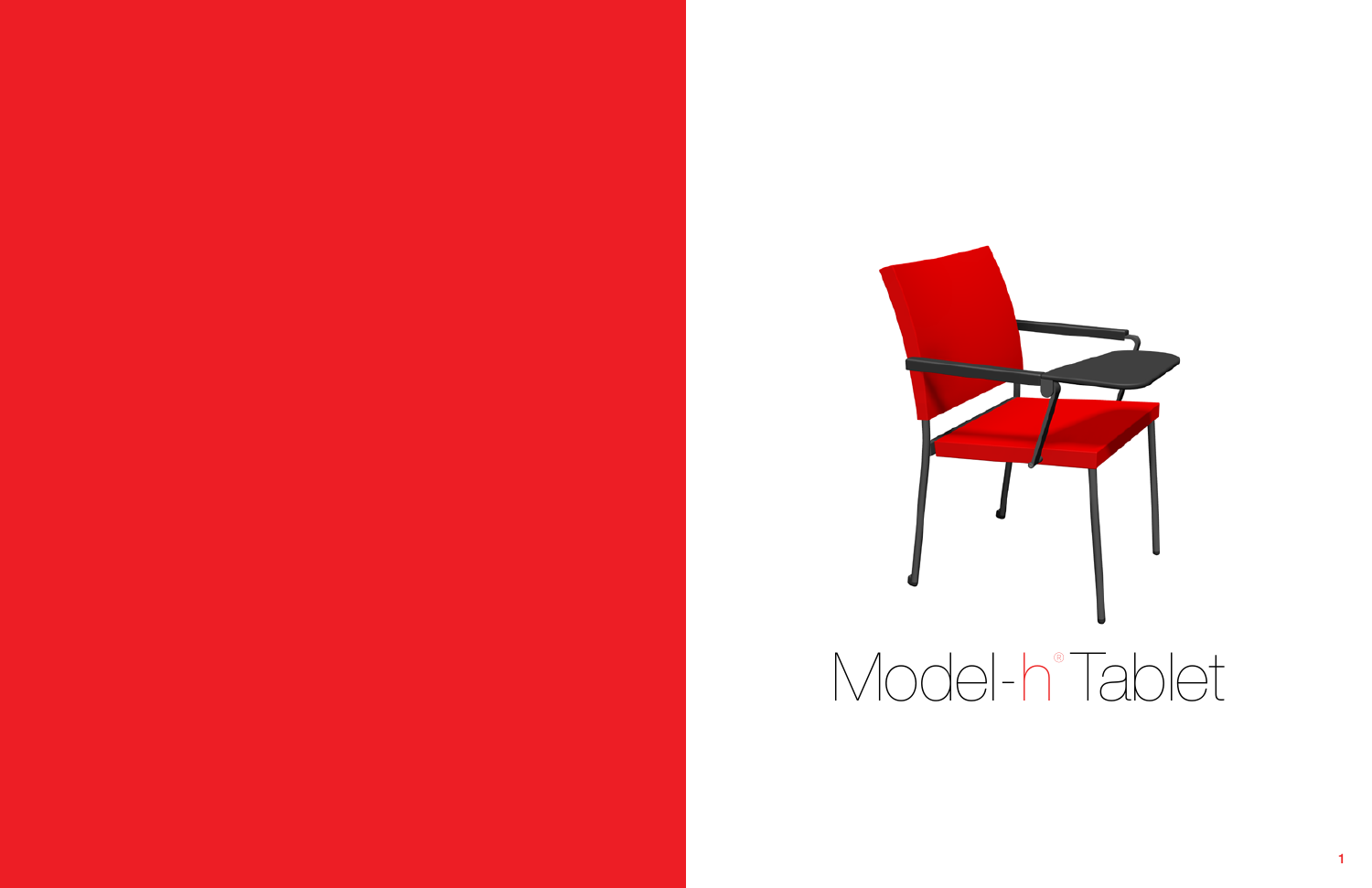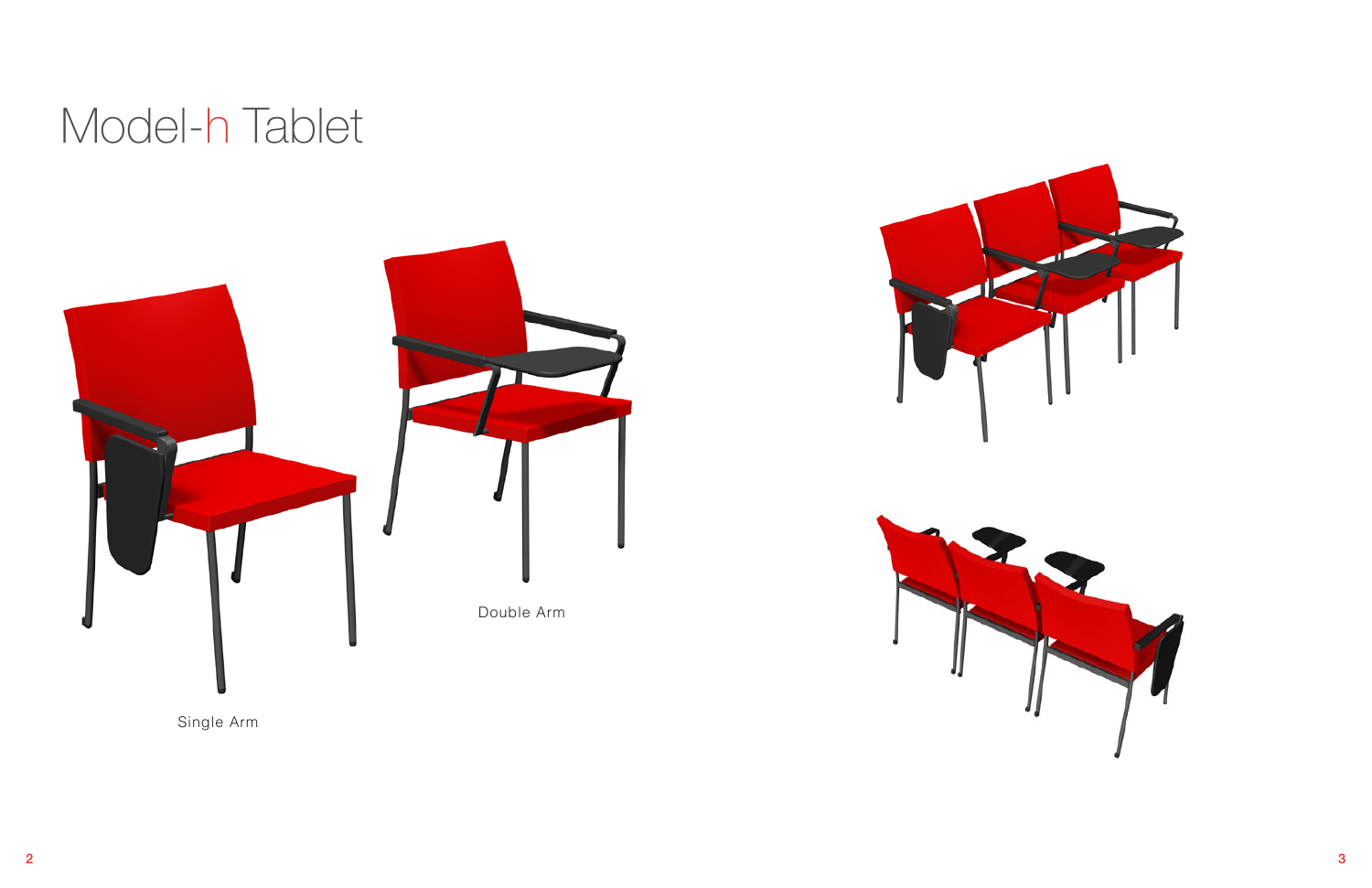# Model-h Tablet

Single Arm





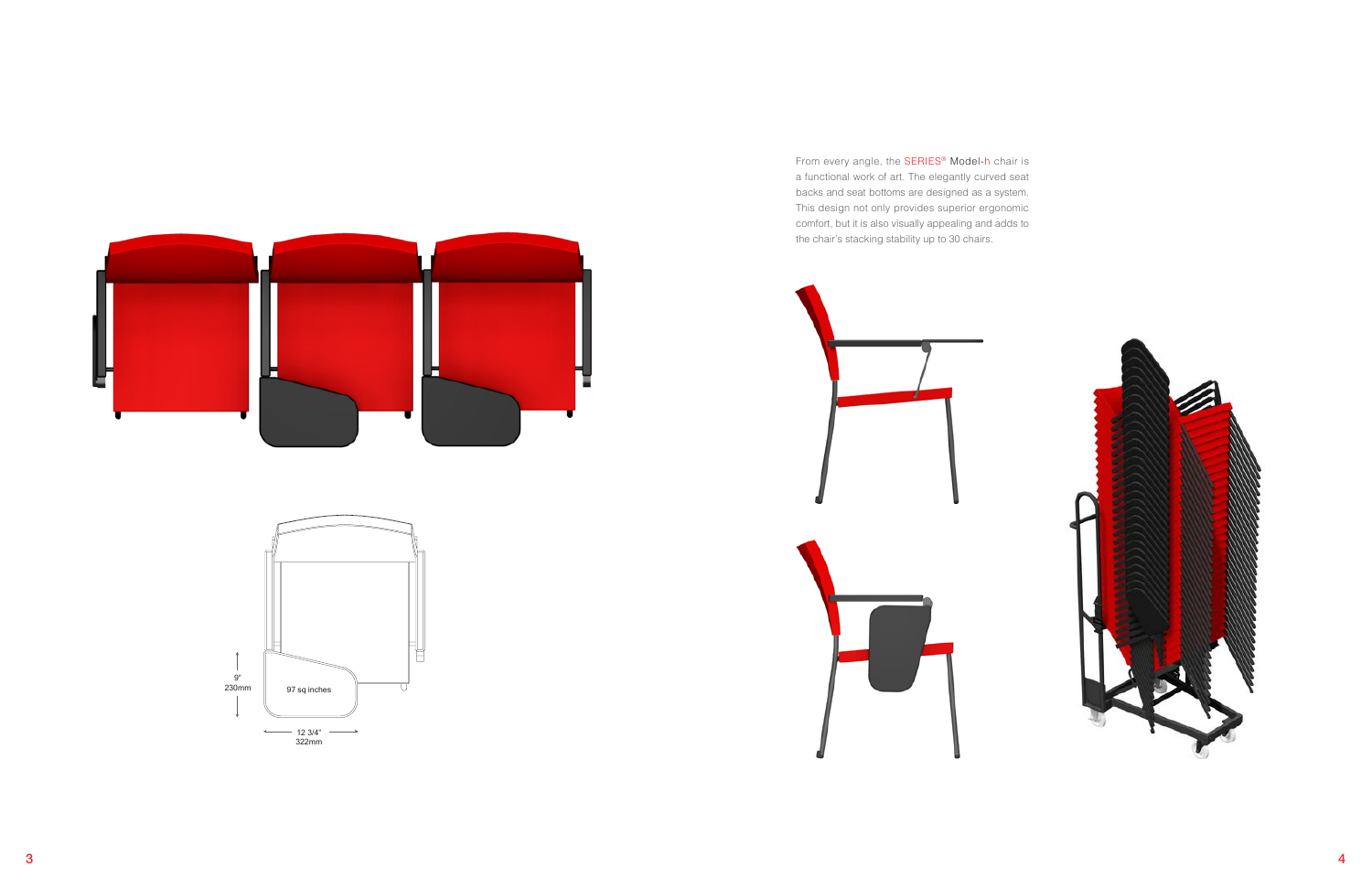From every angle, the SERIES® Model-h chair is a functional work of art. The elegantly curved seat backs and seat bottoms are designed as a system. This design not only provides superior ergonomic comfort, but it is also visually appealing and adds to the chair's stacking stability up to 30 chairs.







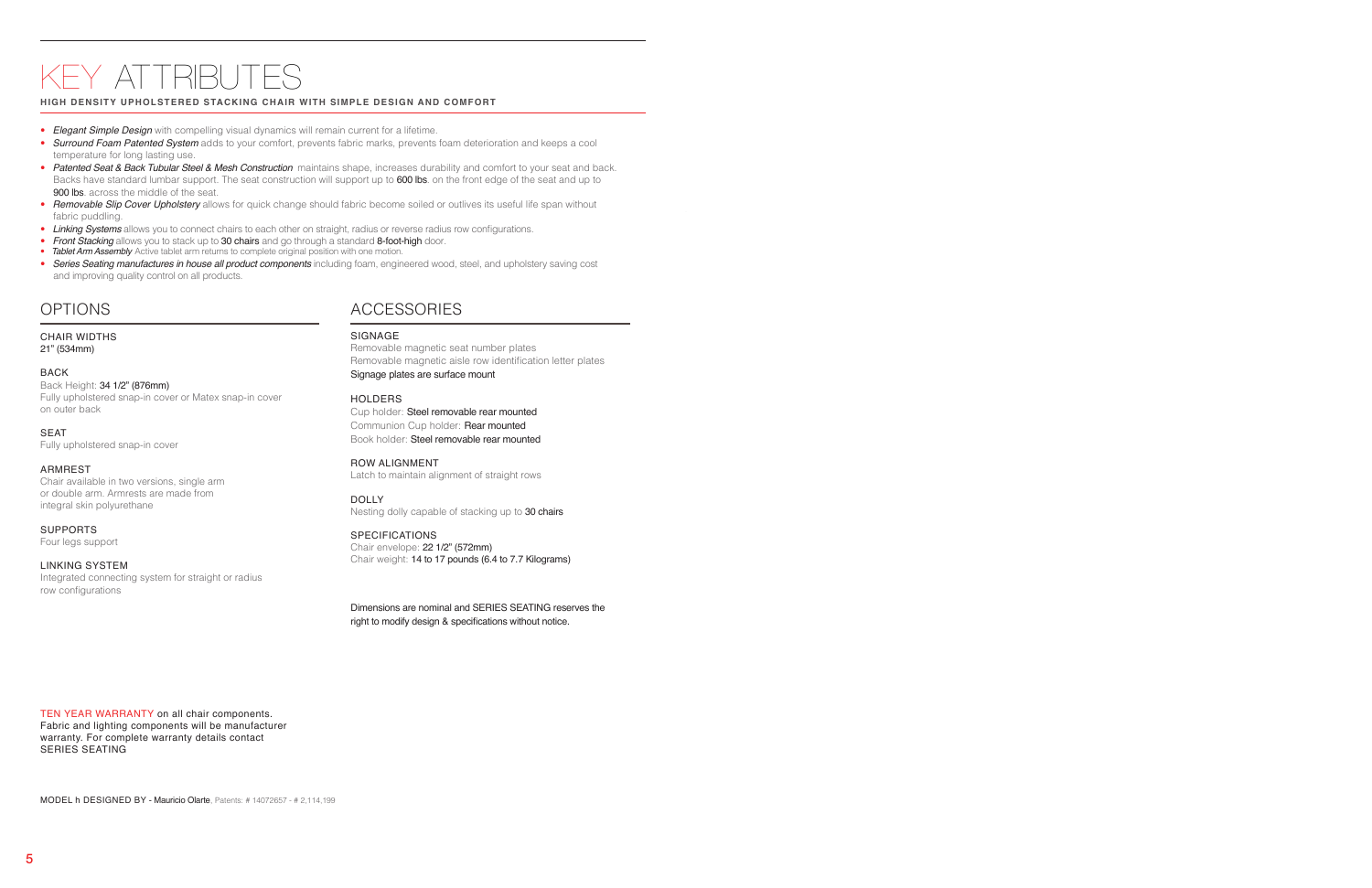# OPTIONS

CHAIR WIDTHS 21" (534mm)

#### BACK

Back Height: 34 1/2" (876mm) Fully upholstered snap-in cover or Matex snap-in cover on outer back

SEAT Fully upholstered snap-in cover

#### ARMREST

Chair available in two versions, single arm or double arm. Armrests are made from integral skin polyurethane

#### SUPPORTS

Four legs support

#### LINKING SYSTEM

Integrated connecting system for straight or radius row configurations

TEN YEAR WARRANTY on all chair components. Fabric and lighting components will be manufacturer warranty. For complete warranty details contact SERIES SEATING

# ACCESSORIES

#### SIGNAGE

Removable magnetic seat number plates Removable magnetic aisle row identification letter plates Signage plates are surface mount

#### HOLDERS

Cup holder: Steel removable rear mounted Communion Cup holder: Rear mounted Book holder: Steel removable rear mounted

#### ROW ALIGNMENT

Latch to maintain alignment of straight rows

#### DOLLY

Nesting dolly capable of stacking up to 30 chairs

#### SPECIFICATIONS

Chair envelope: 22 1/2" (572mm) Chair weight: 14 to 17 pounds (6.4 to 7.7 Kilograms)

Dimensions are nominal and SERIES SEATING reserves the right to modify design & specifications without notice.

# KEY ATTRIBU

#### **HIGH DENSITY UPHOLSTERED STACKING CHAIR WITH SIMPLE DESIGN AND COMFORT**

- *Elegant Simple Design* with compelling visual dynamics will remain current for a lifetime.
- *Surround Foam Patented System* adds to your comfort, prevents fabric marks, prevents foam deterioration and keeps a cool temperature for long lasting use.
- Patented Seat & Back Tubular Steel & Mesh Construction maintains shape, increases durability and comfort to your seat and back. Backs have standard lumbar support. The seat construction will support up to 600 lbs. on the front edge of the seat and up to 900 lbs. across the middle of the seat.
- *Removable Slip Cover Upholstery* allows for quick change should fabric become soiled or outlives its useful life span without fabric puddling.
- *Linking Systems* allows you to connect chairs to each other on straight, radius or reverse radius row configurations.
- **Front Stacking** allows you to stack up to 30 chairs and go through a standard 8-foot-high door.
- **Tablet Arm Assembly** Active tablet arm returns to complete original position with one motion.
- *Series Seating manufactures in house all product components* including foam, engineered wood, steel, and upholstery saving cost and improving quality control on all products.

MODEL h DESIGNED BY - Mauricio Olarte, Patents: # 14072657 - # 2,114,199